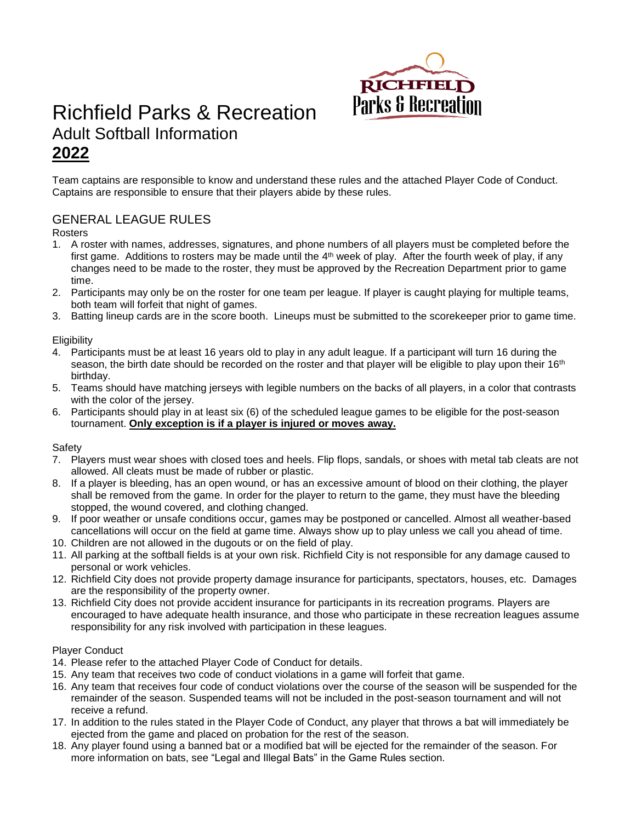

# Richfield Parks & Recreation Adult Softball Information **2022**

Team captains are responsible to know and understand these rules and the attached Player Code of Conduct. Captains are responsible to ensure that their players abide by these rules.

# GENERAL LEAGUE RULES

Rosters

- 1. A roster with names, addresses, signatures, and phone numbers of all players must be completed before the first game. Additions to rosters may be made until the 4<sup>th</sup> week of play. After the fourth week of play, if any changes need to be made to the roster, they must be approved by the Recreation Department prior to game time.
- 2. Participants may only be on the roster for one team per league. If player is caught playing for multiple teams, both team will forfeit that night of games.
- 3. Batting lineup cards are in the score booth. Lineups must be submitted to the scorekeeper prior to game time.

**Eligibility** 

- 4. Participants must be at least 16 years old to play in any adult league. If a participant will turn 16 during the season, the birth date should be recorded on the roster and that player will be eligible to play upon their 16<sup>th</sup> birthday.
- 5. Teams should have matching jerseys with legible numbers on the backs of all players, in a color that contrasts with the color of the jersey.
- 6. Participants should play in at least six (6) of the scheduled league games to be eligible for the post-season tournament. **Only exception is if a player is injured or moves away.**

## Safety

- 7. Players must wear shoes with closed toes and heels. Flip flops, sandals, or shoes with metal tab cleats are not allowed. All cleats must be made of rubber or plastic.
- 8. If a player is bleeding, has an open wound, or has an excessive amount of blood on their clothing, the player shall be removed from the game. In order for the player to return to the game, they must have the bleeding stopped, the wound covered, and clothing changed.
- 9. If poor weather or unsafe conditions occur, games may be postponed or cancelled. Almost all weather-based cancellations will occur on the field at game time. Always show up to play unless we call you ahead of time.
- 10. Children are not allowed in the dugouts or on the field of play.
- 11. All parking at the softball fields is at your own risk. Richfield City is not responsible for any damage caused to personal or work vehicles.
- 12. Richfield City does not provide property damage insurance for participants, spectators, houses, etc. Damages are the responsibility of the property owner.
- 13. Richfield City does not provide accident insurance for participants in its recreation programs. Players are encouraged to have adequate health insurance, and those who participate in these recreation leagues assume responsibility for any risk involved with participation in these leagues.

## Player Conduct

- 14. Please refer to the attached Player Code of Conduct for details.
- 15. Any team that receives two code of conduct violations in a game will forfeit that game.
- 16. Any team that receives four code of conduct violations over the course of the season will be suspended for the remainder of the season. Suspended teams will not be included in the post-season tournament and will not receive a refund.
- 17. In addition to the rules stated in the Player Code of Conduct, any player that throws a bat will immediately be ejected from the game and placed on probation for the rest of the season.
- 18. Any player found using a banned bat or a modified bat will be ejected for the remainder of the season. For more information on bats, see "Legal and Illegal Bats" in the Game Rules section.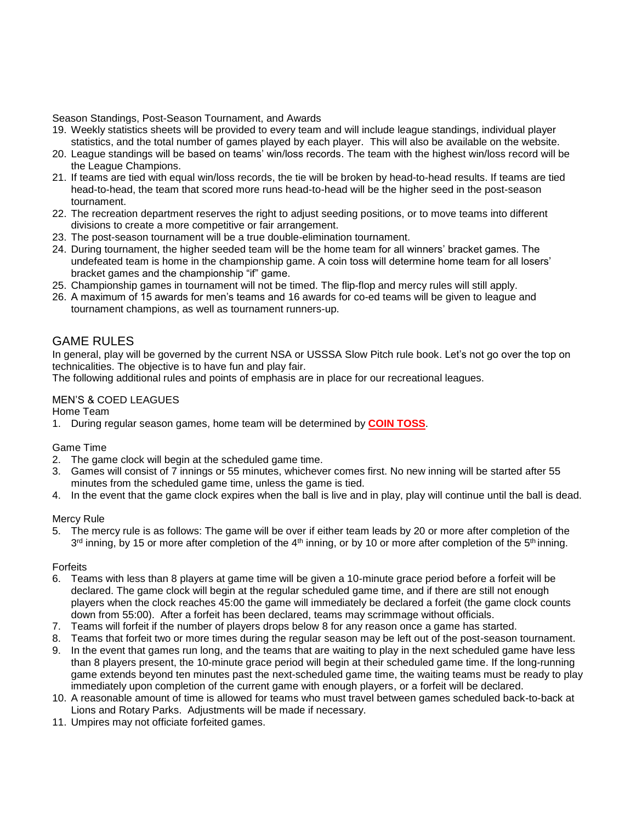Season Standings, Post-Season Tournament, and Awards

- 19. Weekly statistics sheets will be provided to every team and will include league standings, individual player statistics, and the total number of games played by each player. This will also be available on the website.
- 20. League standings will be based on teams' win/loss records. The team with the highest win/loss record will be the League Champions.
- 21. If teams are tied with equal win/loss records, the tie will be broken by head-to-head results. If teams are tied head-to-head, the team that scored more runs head-to-head will be the higher seed in the post-season tournament.
- 22. The recreation department reserves the right to adjust seeding positions, or to move teams into different divisions to create a more competitive or fair arrangement.
- 23. The post-season tournament will be a true double-elimination tournament.
- 24. During tournament, the higher seeded team will be the home team for all winners' bracket games. The undefeated team is home in the championship game. A coin toss will determine home team for all losers' bracket games and the championship "if" game.
- 25. Championship games in tournament will not be timed. The flip-flop and mercy rules will still apply.
- 26. A maximum of 15 awards for men's teams and 16 awards for co-ed teams will be given to league and tournament champions, as well as tournament runners-up.

# GAME RULES

In general, play will be governed by the current NSA or USSSA Slow Pitch rule book. Let's not go over the top on technicalities. The objective is to have fun and play fair.

The following additional rules and points of emphasis are in place for our recreational leagues.

## MEN'S & COED LEAGUES

Home Team

1. During regular season games, home team will be determined by **COIN TOSS**.

## Game Time

- 2. The game clock will begin at the scheduled game time.
- 3. Games will consist of 7 innings or 55 minutes, whichever comes first. No new inning will be started after 55 minutes from the scheduled game time, unless the game is tied.
- 4. In the event that the game clock expires when the ball is live and in play, play will continue until the ball is dead.

## Mercy Rule

5. The mercy rule is as follows: The game will be over if either team leads by 20 or more after completion of the 3<sup>rd</sup> inning, by 15 or more after completion of the 4<sup>th</sup> inning, or by 10 or more after completion of the 5<sup>th</sup> inning.

## Forfeits

- 6. Teams with less than 8 players at game time will be given a 10-minute grace period before a forfeit will be declared. The game clock will begin at the regular scheduled game time, and if there are still not enough players when the clock reaches 45:00 the game will immediately be declared a forfeit (the game clock counts down from 55:00). After a forfeit has been declared, teams may scrimmage without officials.
- 7. Teams will forfeit if the number of players drops below 8 for any reason once a game has started.
- 8. Teams that forfeit two or more times during the regular season may be left out of the post-season tournament.
- 9. In the event that games run long, and the teams that are waiting to play in the next scheduled game have less than 8 players present, the 10-minute grace period will begin at their scheduled game time. If the long-running game extends beyond ten minutes past the next-scheduled game time, the waiting teams must be ready to play immediately upon completion of the current game with enough players, or a forfeit will be declared.
- 10. A reasonable amount of time is allowed for teams who must travel between games scheduled back-to-back at Lions and Rotary Parks. Adjustments will be made if necessary.
- 11. Umpires may not officiate forfeited games.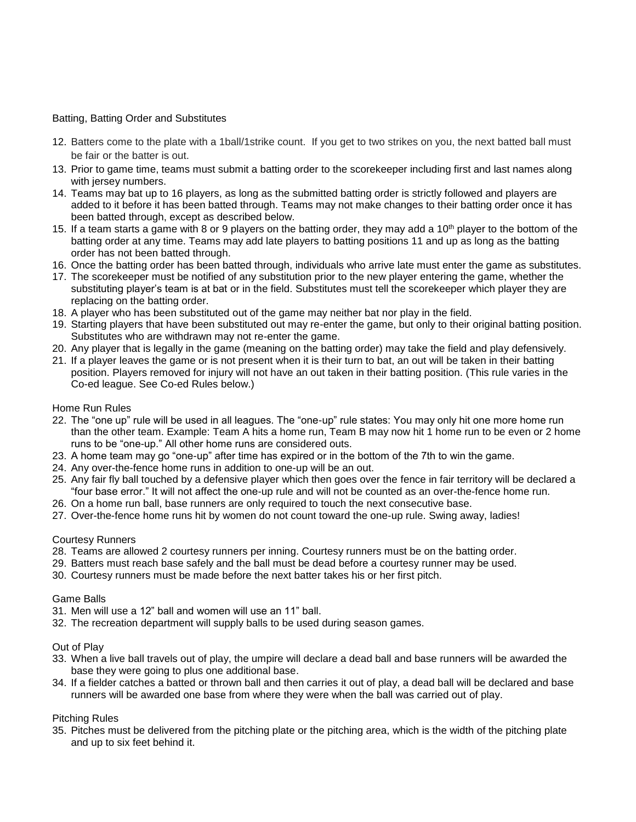Batting, Batting Order and Substitutes

- 12. Batters come to the plate with a 1ball/1strike count. If you get to two strikes on you, the next batted ball must be fair or the batter is out.
- 13. Prior to game time, teams must submit a batting order to the scorekeeper including first and last names along with jersey numbers.
- 14. Teams may bat up to 16 players, as long as the submitted batting order is strictly followed and players are added to it before it has been batted through. Teams may not make changes to their batting order once it has been batted through, except as described below.
- 15. If a team starts a game with 8 or 9 players on the batting order, they may add a 10<sup>th</sup> player to the bottom of the batting order at any time. Teams may add late players to batting positions 11 and up as long as the batting order has not been batted through.
- 16. Once the batting order has been batted through, individuals who arrive late must enter the game as substitutes.
- 17. The scorekeeper must be notified of any substitution prior to the new player entering the game, whether the substituting player's team is at bat or in the field. Substitutes must tell the scorekeeper which player they are replacing on the batting order.
- 18. A player who has been substituted out of the game may neither bat nor play in the field.
- 19. Starting players that have been substituted out may re-enter the game, but only to their original batting position. Substitutes who are withdrawn may not re-enter the game.
- 20. Any player that is legally in the game (meaning on the batting order) may take the field and play defensively.
- 21. If a player leaves the game or is not present when it is their turn to bat, an out will be taken in their batting position. Players removed for injury will not have an out taken in their batting position. (This rule varies in the Co-ed league. See Co-ed Rules below.)

Home Run Rules

- 22. The "one up" rule will be used in all leagues. The "one-up" rule states: You may only hit one more home run than the other team. Example: Team A hits a home run, Team B may now hit 1 home run to be even or 2 home runs to be "one-up." All other home runs are considered outs.
- 23. A home team may go "one-up" after time has expired or in the bottom of the 7th to win the game.
- 24. Any over-the-fence home runs in addition to one-up will be an out.
- 25. Any fair fly ball touched by a defensive player which then goes over the fence in fair territory will be declared a "four base error." It will not affect the one-up rule and will not be counted as an over-the-fence home run.
- 26. On a home run ball, base runners are only required to touch the next consecutive base.
- 27. Over-the-fence home runs hit by women do not count toward the one-up rule. Swing away, ladies!

## Courtesy Runners

- 28. Teams are allowed 2 courtesy runners per inning. Courtesy runners must be on the batting order.
- 29. Batters must reach base safely and the ball must be dead before a courtesy runner may be used.
- 30. Courtesy runners must be made before the next batter takes his or her first pitch.

## Game Balls

31. Men will use a 12" ball and women will use an 11" ball.

32. The recreation department will supply balls to be used during season games.

#### Out of Play

- 33. When a live ball travels out of play, the umpire will declare a dead ball and base runners will be awarded the base they were going to plus one additional base.
- 34. If a fielder catches a batted or thrown ball and then carries it out of play, a dead ball will be declared and base runners will be awarded one base from where they were when the ball was carried out of play.

## Pitching Rules

35. Pitches must be delivered from the pitching plate or the pitching area, which is the width of the pitching plate and up to six feet behind it.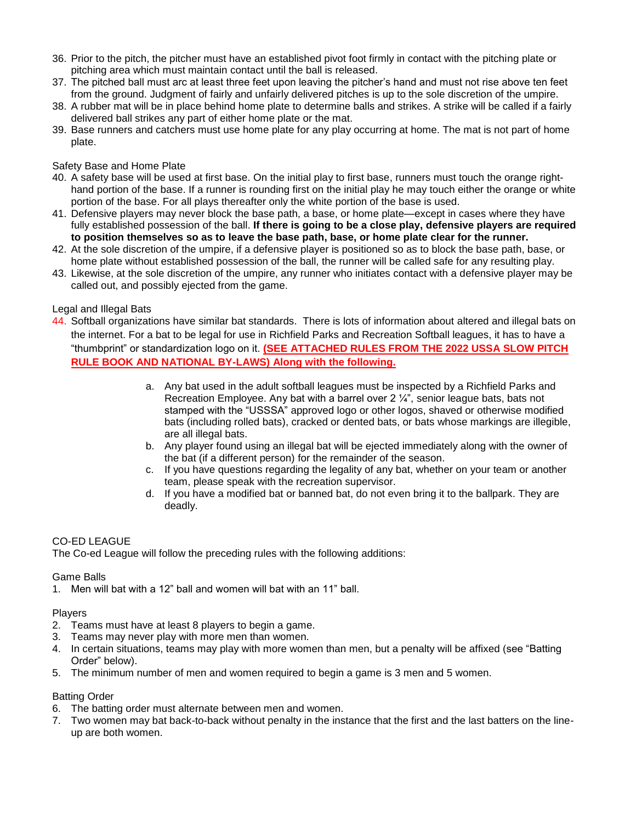- 36. Prior to the pitch, the pitcher must have an established pivot foot firmly in contact with the pitching plate or pitching area which must maintain contact until the ball is released.
- 37. The pitched ball must arc at least three feet upon leaving the pitcher's hand and must not rise above ten feet from the ground. Judgment of fairly and unfairly delivered pitches is up to the sole discretion of the umpire.
- 38. A rubber mat will be in place behind home plate to determine balls and strikes. A strike will be called if a fairly delivered ball strikes any part of either home plate or the mat.
- 39. Base runners and catchers must use home plate for any play occurring at home. The mat is not part of home plate.

Safety Base and Home Plate

- 40. A safety base will be used at first base. On the initial play to first base, runners must touch the orange righthand portion of the base. If a runner is rounding first on the initial play he may touch either the orange or white portion of the base. For all plays thereafter only the white portion of the base is used.
- 41. Defensive players may never block the base path, a base, or home plate—except in cases where they have fully established possession of the ball. **If there is going to be a close play, defensive players are required to position themselves so as to leave the base path, base, or home plate clear for the runner.**
- 42. At the sole discretion of the umpire, if a defensive player is positioned so as to block the base path, base, or home plate without established possession of the ball, the runner will be called safe for any resulting play.
- 43. Likewise, at the sole discretion of the umpire, any runner who initiates contact with a defensive player may be called out, and possibly ejected from the game.

## Legal and Illegal Bats

- 44. Softball organizations have similar bat standards. There is lots of information about altered and illegal bats on the internet. For a bat to be legal for use in Richfield Parks and Recreation Softball leagues, it has to have a "thumbprint" or standardization logo on it. **(SEE ATTACHED RULES FROM THE 2022 USSA SLOW PITCH RULE BOOK AND NATIONAL BY-LAWS) Along with the following.** 
	- a. Any bat used in the adult softball leagues must be inspected by a Richfield Parks and Recreation Employee. Any bat with a barrel over  $2\frac{1}{4}$ , senior league bats, bats not stamped with the "USSSA" approved logo or other logos, shaved or otherwise modified bats (including rolled bats), cracked or dented bats, or bats whose markings are illegible, are all illegal bats.
	- b. Any player found using an illegal bat will be ejected immediately along with the owner of the bat (if a different person) for the remainder of the season.
	- c. If you have questions regarding the legality of any bat, whether on your team or another team, please speak with the recreation supervisor.
	- d. If you have a modified bat or banned bat, do not even bring it to the ballpark. They are deadly.

## CO-ED LEAGUE

The Co-ed League will follow the preceding rules with the following additions:

## Game Balls

1. Men will bat with a 12" ball and women will bat with an 11" ball.

## **Players**

- 2. Teams must have at least 8 players to begin a game.
- 3. Teams may never play with more men than women.
- 4. In certain situations, teams may play with more women than men, but a penalty will be affixed (see "Batting Order" below).
- 5. The minimum number of men and women required to begin a game is 3 men and 5 women.

## Batting Order

- 6. The batting order must alternate between men and women.
- 7. Two women may bat back-to-back without penalty in the instance that the first and the last batters on the lineup are both women.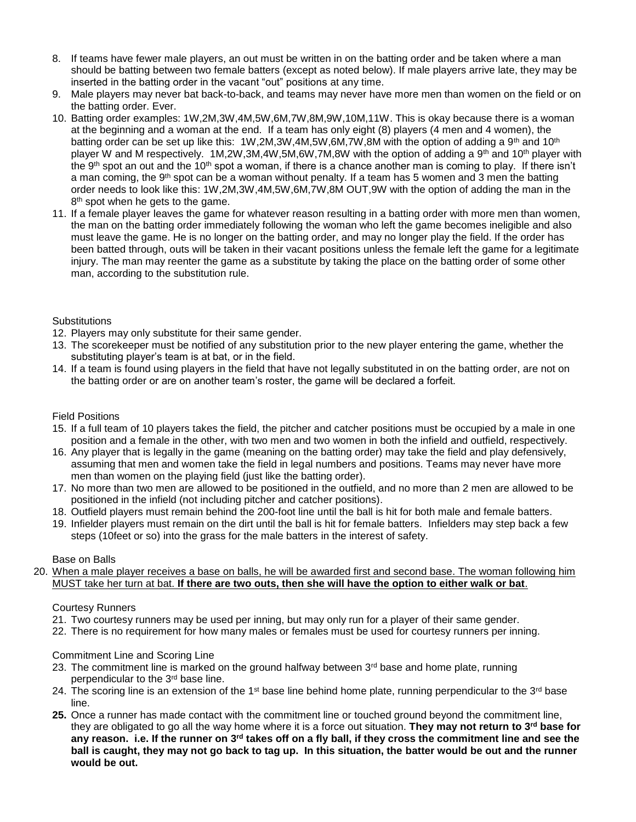- 8. If teams have fewer male players, an out must be written in on the batting order and be taken where a man should be batting between two female batters (except as noted below). If male players arrive late, they may be inserted in the batting order in the vacant "out" positions at any time.
- 9. Male players may never bat back-to-back, and teams may never have more men than women on the field or on the batting order. Ever.
- 10. Batting order examples: 1W,2M,3W,4M,5W,6M,7W,8M,9W,10M,11W. This is okay because there is a woman at the beginning and a woman at the end. If a team has only eight (8) players (4 men and 4 women), the batting order can be set up like this: 1W,2M,3W,4M,5W,6M,7W,8M with the option of adding a 9<sup>th</sup> and 10<sup>th</sup> player W and M respectively. 1M,2W,3M,4W,5M,6W,7M,8W with the option of adding a 9<sup>th</sup> and 10<sup>th</sup> player with the 9<sup>th</sup> spot an out and the 10<sup>th</sup> spot a woman, if there is a chance another man is coming to play. If there isn't a man coming, the 9<sup>th</sup> spot can be a woman without penalty. If a team has 5 women and 3 men the batting order needs to look like this: 1W,2M,3W,4M,5W,6M,7W,8M OUT,9W with the option of adding the man in the 8<sup>th</sup> spot when he gets to the game.
- 11. If a female player leaves the game for whatever reason resulting in a batting order with more men than women, the man on the batting order immediately following the woman who left the game becomes ineligible and also must leave the game. He is no longer on the batting order, and may no longer play the field. If the order has been batted through, outs will be taken in their vacant positions unless the female left the game for a legitimate injury. The man may reenter the game as a substitute by taking the place on the batting order of some other man, according to the substitution rule.

## **Substitutions**

- 12. Players may only substitute for their same gender.
- 13. The scorekeeper must be notified of any substitution prior to the new player entering the game, whether the substituting player's team is at bat, or in the field.
- 14. If a team is found using players in the field that have not legally substituted in on the batting order, are not on the batting order or are on another team's roster, the game will be declared a forfeit.

## Field Positions

- 15. If a full team of 10 players takes the field, the pitcher and catcher positions must be occupied by a male in one position and a female in the other, with two men and two women in both the infield and outfield, respectively.
- 16. Any player that is legally in the game (meaning on the batting order) may take the field and play defensively, assuming that men and women take the field in legal numbers and positions. Teams may never have more men than women on the playing field (just like the batting order).
- 17. No more than two men are allowed to be positioned in the outfield, and no more than 2 men are allowed to be positioned in the infield (not including pitcher and catcher positions).
- 18. Outfield players must remain behind the 200-foot line until the ball is hit for both male and female batters.
- 19. Infielder players must remain on the dirt until the ball is hit for female batters. Infielders may step back a few steps (10feet or so) into the grass for the male batters in the interest of safety.

## Base on Balls

20. When a male player receives a base on balls, he will be awarded first and second base. The woman following him MUST take her turn at bat. **If there are two outs, then she will have the option to either walk or bat**.

## Courtesy Runners

- 21. Two courtesy runners may be used per inning, but may only run for a player of their same gender.
- 22. There is no requirement for how many males or females must be used for courtesy runners per inning.

## Commitment Line and Scoring Line

- 23. The commitment line is marked on the ground halfway between  $3<sup>rd</sup>$  base and home plate, running perpendicular to the 3rd base line.
- 24. The scoring line is an extension of the 1<sup>st</sup> base line behind home plate, running perpendicular to the  $3<sup>rd</sup>$  base line.
- **25.** Once a runner has made contact with the commitment line or touched ground beyond the commitment line, they are obligated to go all the way home where it is a force out situation. **They may not return to 3rd base for any reason. i.e. If the runner on 3rd takes off on a fly ball, if they cross the commitment line and see the ball is caught, they may not go back to tag up. In this situation, the batter would be out and the runner would be out.**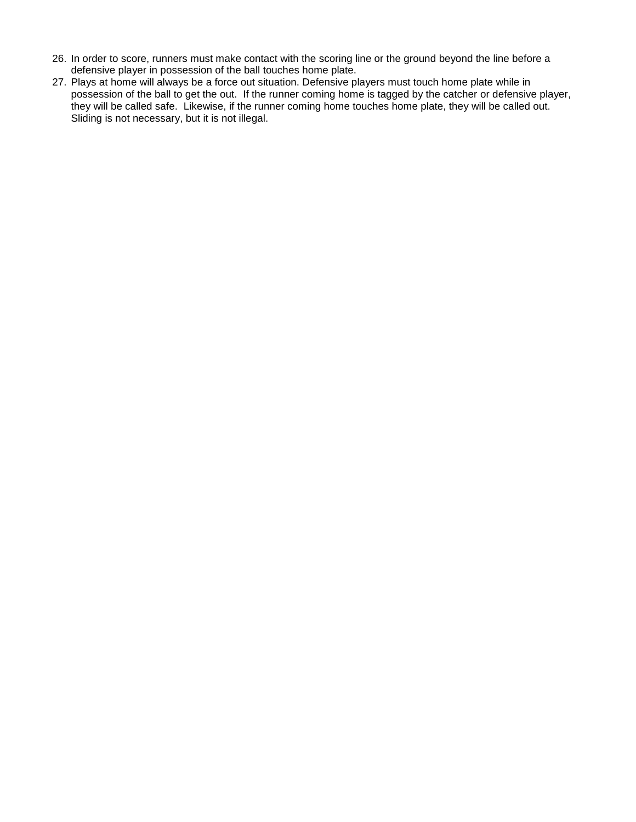- 26. In order to score, runners must make contact with the scoring line or the ground beyond the line before a defensive player in possession of the ball touches home plate.
- 27. Plays at home will always be a force out situation. Defensive players must touch home plate while in possession of the ball to get the out. If the runner coming home is tagged by the catcher or defensive player, they will be called safe. Likewise, if the runner coming home touches home plate, they will be called out. Sliding is not necessary, but it is not illegal.